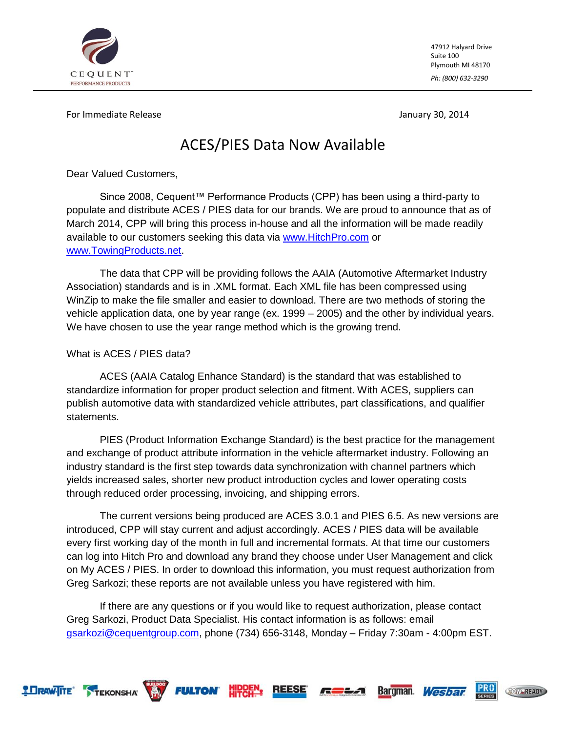

47912 Halyard Drive Suite 100 Plymouth MI 48170 *Ph: (800) 632-3290*

**PRO** 

**TOW READY** 

Bargman. Wesbar

For Immediate Release January 30, 2014

# ACES/PIES Data Now Available

Dear Valued Customers,

Since 2008, Cequent™ Performance Products (CPP) has been using a third-party to populate and distribute ACES / PIES data for our brands. We are proud to announce that as of March 2014, CPP will bring this process in-house and all the information will be made readily available to our customers seeking this data via [www.HitchPro.com](http://www.hitchpro.com/) or [www.TowingProducts.net.](http://www.towingproducts.net/)

The data that CPP will be providing follows the AAIA (Automotive Aftermarket Industry Association) standards and is in .XML format. Each XML file has been compressed using WinZip to make the file smaller and easier to download. There are two methods of storing the vehicle application data, one by year range (ex. 1999 – 2005) and the other by individual years. We have chosen to use the year range method which is the growing trend.

# What is ACES / PIES data?

ACES (AAIA Catalog Enhance Standard) is the standard that was established to standardize information for proper product selection and fitment. With ACES, suppliers can publish automotive data with standardized vehicle attributes, part classifications, and qualifier statements.

PIES (Product Information Exchange Standard) is the best practice for the management and exchange of product attribute information in the vehicle aftermarket industry. Following an industry standard is the first step towards data synchronization with channel partners which yields increased sales, shorter new product introduction cycles and lower operating costs through reduced order processing, invoicing, and shipping errors.

The current versions being produced are ACES 3.0.1 and PIES 6.5. As new versions are introduced, CPP will stay current and adjust accordingly. ACES / PIES data will be available every first working day of the month in full and incremental formats. At that time our customers can log into Hitch Pro and download any brand they choose under User Management and click on My ACES / PIES. In order to download this information, you must request authorization from Greg Sarkozi; these reports are not available unless you have registered with him.

If there are any questions or if you would like to request authorization, please contact Greg Sarkozi, Product Data Specialist. His contact information is as follows: email [gsarkozi@cequentgroup.com,](mailto:gsarkozi@cequentgroup.com) phone (734) 656-3148, Monday – Friday 7:30am - 4:00pm EST.

æ

**TEKONSHA WAY FULTON HIPDEN: REESE** 

**2 DRAW-ITE**